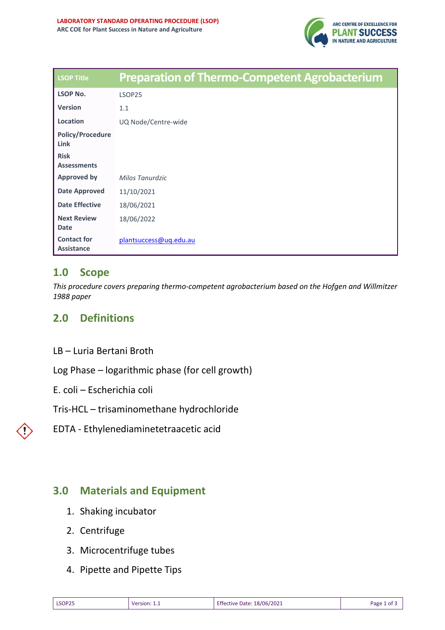

| <b>LSOP Title</b>                       | <b>Preparation of Thermo-Competent Agrobacterium</b> |
|-----------------------------------------|------------------------------------------------------|
| <b>LSOP No.</b>                         | LSOP25                                               |
| <b>Version</b>                          | 1.1                                                  |
| Location                                | UQ Node/Centre-wide                                  |
| <b>Policy/Procedure</b><br>Link         |                                                      |
| <b>Risk</b><br><b>Assessments</b>       |                                                      |
| <b>Approved by</b>                      | Milos Tanurdzic                                      |
| <b>Date Approved</b>                    | 11/10/2021                                           |
| <b>Date Effective</b>                   | 18/06/2021                                           |
| <b>Next Review</b><br><b>Date</b>       | 18/06/2022                                           |
| <b>Contact for</b><br><b>Assistance</b> | plantsuccess@uq.edu.au                               |

## **1.0 Scope**

*This procedure covers preparing thermo-competent agrobacterium based on the Hofgen and Willmitzer 1988 paper*

# **2.0 Definitions**

LB – Luria Bertani Broth

Log Phase – logarithmic phase (for cell growth)

E. coli – Escherichia coli

Tris-HCL – trisaminomethane hydrochloride

EDTA - Ethylenediaminetetraacetic acid

## **3.0 Materials and Equipment**

- 1. Shaking incubator
- 2. Centrifuge
- 3. Microcentrifuge tubes
- 4. Pipette and Pipette Tips

| <b>LSOP25</b><br>____ | Version:<br>_______ | 18/06/2021<br><b>Effective Date:</b> | Page<br>οt |
|-----------------------|---------------------|--------------------------------------|------------|
|-----------------------|---------------------|--------------------------------------|------------|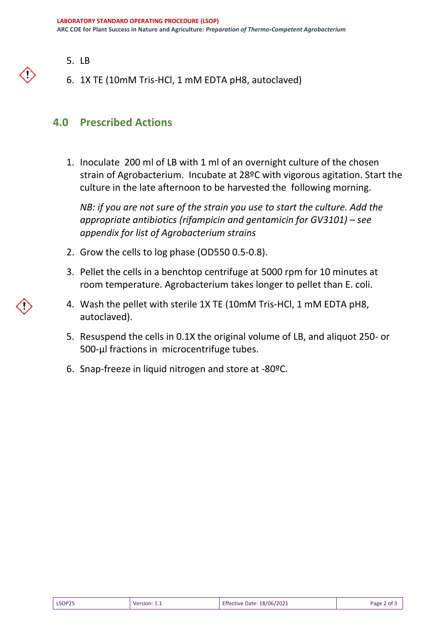- 5. LB
- 6. 1X TE (10mM Tris-HCl, 1 mM EDTA pH8, autoclaved)

### **4.0 Prescribed Actions**

1. Inoculate 200 ml of LB with 1 ml of an overnight culture of the chosen strain of Agrobacterium. Incubate at 28ºC with vigorous agitation. Start the culture in the late afternoon to be harvested the following morning.

*NB: if you are not sure of the strain you use to start the culture. Add the appropriate antibiotics (rifampicin and gentamicin for GV3101) – see appendix for list of Agrobacterium strains*

- 2. Grow the cells to log phase (OD550 0.5-0.8).
- 3. Pellet the cells in a benchtop centrifuge at 5000 rpm for 10 minutes at room temperature. Agrobacterium takes longer to pellet than E. coli.
- 4. Wash the pellet with sterile 1X TE (10mM Tris-HCl, 1 mM EDTA pH8, autoclaved).
- 5. Resuspend the cells in 0.1X the original volume of LB, and aliquot 250- or 500-μl fractions in microcentrifuge tubes.
- 6. Snap-freeze in liquid nitrogen and store at -80ºC.

| LSOP25 | <b>Version: 1.1</b> | <b>Effective Date: 18/06/2021</b> | Page 2 of 3 |
|--------|---------------------|-----------------------------------|-------------|
|--------|---------------------|-----------------------------------|-------------|